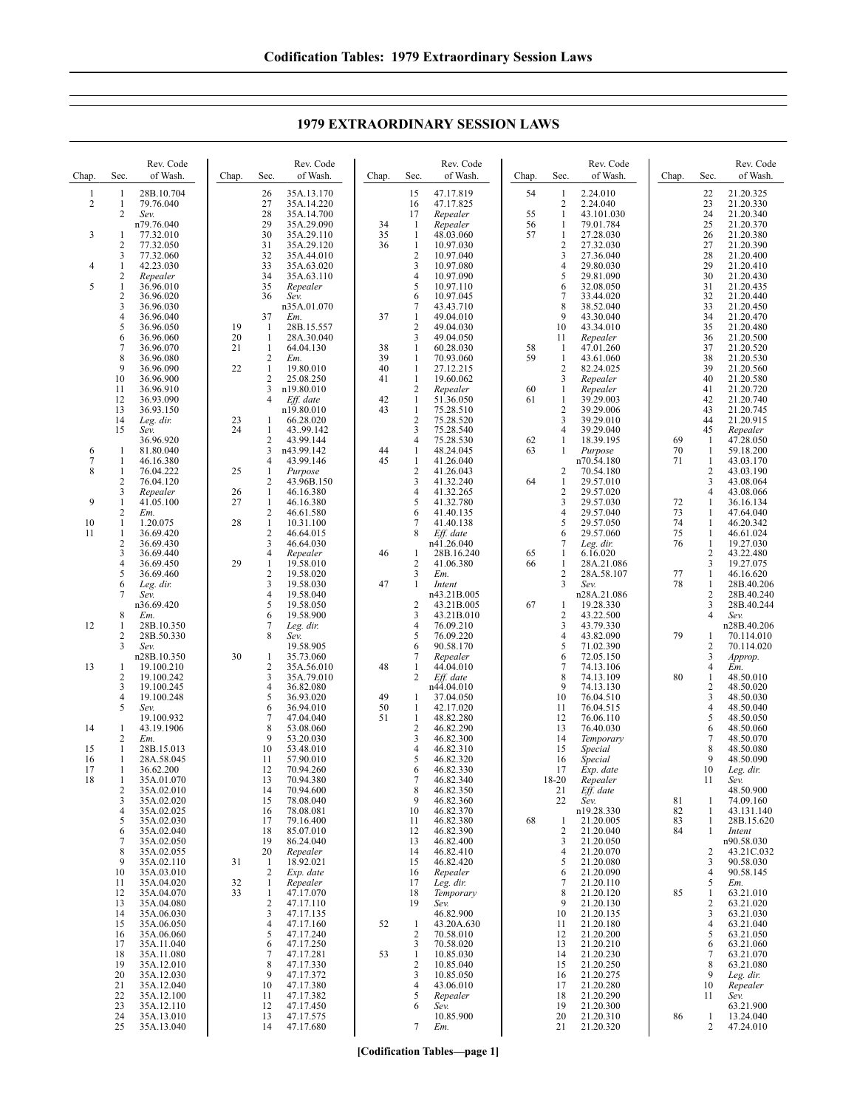Chap. Sec. Rev. Code of Wash. 1 1 28B.10.704 2 1 79.76.040<br>2 Sev. 2 *Sev.* n79.76.040 3 1 77.32.010 2 77.32.050<br>3 77.32.060 3 77.32.060<br>1 42.23.030 4 1 42.23.030<br>2 Repealer 2 *Repealer* 5 1 36.96.010  $\begin{array}{r} 2 \\ 3 \\ 3 \\ 6.96.020 \\ 4 \\ 36.96.040 \end{array}$ 3 36.96.030 4 36.96.040<br>5 36.96.050 5 36.96.050<br>6 36.96.060<br>7 36.96.070 6 36.96.060  $\begin{array}{r} 7 & 36.96.070 \\ 8 & 36.96.080 \\ 9 & 36.96.090 \end{array}$ 8 36.96.080  $\frac{9}{10}$   $\frac{36.96.090}{36.96.900}$ 10 36.96.900<br>11 36.96.910 36.96.910 12 36.93.090<br>13 36.93.150  $13 \t 36.93.150$ <br> $14 \t Log dir$ 14 *Leg. dir.* 15 *Sev.* 36.96.920 6 1 81.80.040 7 1 46.16.380 1 76.04.222<br>2 76.04.120 2 76.04.120<br>3 *Repealer* 3 *Repealer* 9 1 41.05.100<br>
2 *Em.*<br>
1 1.20.075 10 2 *Em.*<br>
10 1 1.20.075  $\frac{11}{2}$   $\frac{1}{36.69.420}$ <br> $\frac{36.69.420}{36.69.430}$ 2 36.69.430<br>3 36.69.440  $\begin{array}{r} 3 & 36.69.440 \\ 4 & 36.69.450 \\ 5 & 36.69.460 \end{array}$ 4 36.69.450 5 36.69.460 6 *Leg. dir.* 7 *Sev.* n36.69.420 8 *Em.*<br>12 1 28B.10.350 2 28B.50.330<br>3 Sev. 3 *Sev.* n28B.10.350 13 1 19.100.210 2 19.100.242 3 19.100.245<br>4 19.100.248  $\begin{array}{ll} 4 & 19.100.248 \\ 5 & \textit{Sev.} \end{array}$ 5 *Sev.* 19.100.932 14  $1 \t 43.19.1906$ <br>2  $Em.$ 2 *Em.* 15 1 28B.15.013<br>16 1 28A.58.045 28A.58.045 17 1 36.62.200<br>18 1 35A.01.07  $\overline{)1}$  35A.01.070<br>2 35A.02.010 2 35A.02.010<br>3 35A.02.020 3 35A.02.020 4 35A.02.025<br>5 35A.02.030<br>6 35A.02.040 5 35A.02.030  $6$  35A.02.040<br>7 35A.02.050 7 35A.02.050<br>8 35A.02.055<br>9 35A.02.110 8 35A.02.055 9 35A.02.110<br>10 35A.03.010 10 35A.03.010<br>11 35A.04.020 11 35A.04.020<br>12 35A.04.070 12 35A.04.070<br>13 35A.04.080 35A.04.080 14 35A.06.030 15 35A.06.050<br>16 35A.06.060 16 35A.06.060<br>17 35A 11 040 17 35A.11.040<br>18 35A 11.080 18 35A.11.080<br>19 35A.12.010 19 35A.12.010<br>20 35A.12.030 20 35A.12.030<br>21 35A.12.040 21 35A.12.040 22 35A.12.100<br>23 35A.12.110 23 35A.12.110<br>24 35A.13.010 24 35A.13.010<br>25 35A.13.040 Chap. Sec. Rev. Code of Wash. 26 35A.13.170<br>27 35A.14.220 27 35A.14.220 28 35A.14.700<br>29 35A.29.090 29 35A.29.090<br>30 35A 29 110 30 35A.29.110<br>31 35A.29.120 31 35A.29.120<br>32 35A.44.010 32 35A.44.010<br>33 35A.63.020 33 35A.63.020<br>34 35A.63.110<br>35 Repealer 35A.63.110 35 *Repealer* 36 *Sev.* n35A.01.070 37 *Em.* 19 1 28B.15.557<br>20 1 28A 30 040 20 1 28A.30.040<br>21 1 64.04.130  $\frac{1}{2}$  64.04.130 22 *Em.*<br>22 1 19.80.010 2 25.08.250<br>3 n19.80.010  $\frac{3}{4}$  n19.80.010<br>4 *Eff. date* Eff. date n19.80.010 23 1 66.28.020<br>24 1 43.,99.142  $\frac{1}{2}$  43..99.142 2 43.99.144<br>3 n43.99.142 3 n43.99.142  $\frac{4}{1}$  43.99.146 25 1 *Purpose* 2 43.96B.150 26 1 46.16.380<br>27 1 46.16.380  $\begin{array}{r} 1 & 46.16.380 \\ 2 & 46.61.580 \\ 1 & 10.31.100 \end{array}$ 2 46.61.580 28 1 10.31.100  $\frac{2}{3}$  46.64.015 3 46.64.030 4 *Repealer* 29 1 19.58.010 2 19.58.020  $\overline{3}$  19.58.030<br>4 19.58.040 4 19.58.040<br>5 19.58.050 5 19.58.050 6 19.58.900 7 *Leg. dir.* 8 *Sev.* 19.58.905 30 1 35.73.060<br>2 35A.56.01<br>3 35A.79.01 2 35A.56.010 3 35A.79.010 4 36.82.080<br>5 36.93.020  $\begin{array}{r} 5 \\ 6 \\ \end{array} \quad \begin{array}{r} 36.93.020 \\ 36.94.010 \end{array}$ 6 36.94.010 7 47.04.040<br>8 53.08.060  $\begin{array}{@{}c@{}}8 & 53.08.060 \\ 9 & 53.20.030 \end{array}$  $9$  53.20.030<br>10 53.48.010 10 53.48.010<br>11 57.90.010 57.90.010 12 70.94.260<br>13 70.94.380 13 70.94.380 14 70.94.600<br>15 78.08.040 78.08.040 16 78.08.081 17 79.16.400<br>18 85.07.010 18 85.07.010 19 86.24.040<br>20 *Repealer* 20 *Repealer* 31 1 18.92.021 2 *Exp. date* 32 1 *Repealer*  $\begin{array}{r}\n 1 \quad 47.17.070 \\
 2 \quad 47.17.110 \\
 3 \quad 47.17.135\n \end{array}$ 2 47.17.110 3 47.17.135<br>4 47.17.160<br>5 47.17.240 47.17.160 5 47.17.240 6 47.17.250<br>7 47.17.281 7 47.17.281 8 47.17.330 9 47.17.372<br>10 47.17.380 10 47.17.380<br>11 47.17.382 11 47.17.382 12 47.17.450<br>13 47.17.575 13 47.17.575<br>14 47.17.680 Chap. Sec. Rev. Code of Wash. 15 47.17.819 16 47.17.825<br>17 Repealer 17 *Repealer* 34 1 *Repealer* 35 1 48.03.060  $\begin{array}{r} 1 & 10.97.030 \\ 2 & 10.97.040 \end{array}$ 2 10.97.040<br>3 10.97.080 3 10.97.080<br>4 10.97.090 4 10.97.090 5 10.97.110<br>6 10.97.045 6 10.97.045 7 43.43.710<br>1 49.04.010 37 1 49.04.010<br>2 49.04.030  $\frac{2}{3}$  49.04.030 49.04.050 38 1 60.28.030 39 1 70.93.060 40 1 27.12.215<br>41 1 19.60.062 1 19.60.062<br>2 *Repealer* 2 *Repealer* 42 1 51.36.050<br>43 1 75.28.510  $\frac{1}{2}$  75.28.510  $\frac{2}{3}$  75.28.520  $\overline{3}$  75.28.540<br>4 75.28.530 4 75.28.530<br>1 48.24.045 44 1 48.24.045<br>45 1 41.26.040  $\frac{1}{2}$  41.26.040 2 41.26.043<br>3 41.32.240 3 41.32.240<br>4 41.32.265  $4$  41.32.265<br>5 41.32.780 5 41.32.780<br>6 41.40.135 6 41.40.135 7 41.40.138<br>8 *Eff. date* Eff. date n41.26.040 46 1 28B.16.240<br>2 41.06.380 2  $41.06.380$ <br>3  $Em.$ 3 *Em.* 47 1 *Intent* n43.21B.005 2 43.21B.005<br>3 43.21B.010<br>4 76.09.210 3 43.21B.010 4 76.09.210 5 76.09.220 90.58.170 7 *Repealer* 48 1 44.04.010 2 *Eff. date* n44.04.010 49 1 37.04.050 1 42.17.020 51 1 48.82.280<br>2 46.82.290  $\frac{2}{3}$  46.82.290  $\overline{3}$  46.82.300<br>4 46.82.310  $4 \times 46.82.310$ <br>5  $46.82.320$ 46.82.320 6 46.82.330<br>7 46.82.340  $7 \t 46.82.340$ <br>8 46.82.350  $\begin{array}{@{}c@{\hspace{1em}}c@{\hspace{1em}}l} 8 & 46.82.350 \\ 9 & 46.82.360 \end{array}$ 9 46.82.360<br>10 46.82.370 10 46.82.370 11 46.82.380<br>12 46.82.390 12 46.82.390 13 46.82.400 14 46.82.410 15 46.82.420 16 *Repealer* 17 *Leg. dir.* 18 *Temporary* 19 *Sev.* 46.82.900 52 1 43.20A.630<br>2 70.58.010  $\frac{2}{3}$  70.58.010<br>3 70.58.020 3 70.58.020<br>1 10.85.030 53 1 10.85.030  $\begin{array}{cc}\n 2 & 10.85.040 \\
 3 & 10.85.050\n \end{array}$  $3 \t10.85.050$ <br>4 43.06.010 4 43.06.010<br>5 *Renealer* 5 *Repealer* 6 *Sev.* 10.85.900 Chap. Sec. Rev. Code of Wash. 54 1 2.24.010  $\begin{bmatrix} 2 & 2.24.040 \\ 1 & 43.101.0 \end{bmatrix}$ 55 1 43.101.030<br>56 1 79.01.784 56 1 79.01.784 27 28.030 2 27.32.030 3 27.36.040<br>4 29.80.030  $\begin{array}{r} 4 & 29.80.030 \\ 5 & 29.81.090 \end{array}$  $\begin{array}{r} 5 \\ 6 \\ \end{array} \quad \begin{array}{r} 29.81.090 \\ 32.08.050 \end{array}$ 32.08.050  $\begin{array}{r} 7 & 33.44.020 \\ 8 & 38.52.040 \\ 9 & 43.30.040 \end{array}$ 8 38.52.040 9 43.30.040<br>10 43.34.010 10 43.34.010<br>11 *Repealer* 11 *Repealer* 58 1 47.01.260  $\frac{1}{2}$  43.61.060 2 82.24.025<br>3 *Repealer* 3 *Repealer* 60 1 *Repealer* 1 39.29.003<br>2 39.29.006  $\frac{2}{3}$   $\frac{39.29.006}{39.29.010}$ 3 39.29.010<br>4 39.29.040 39.29.040 62 1 18.39.195 63 1 *Purpose* n70.54.180  $\begin{bmatrix} 2 & 70.54.180 \\ 1 & 29.57.010 \end{bmatrix}$ 64 1 29.57.010  $\begin{array}{r} 2 & 29.57.020 \\ 3 & 29.57.030 \end{array}$ 3 29.57.030  $\frac{4}{5}$  29.57.040  $5$  29.57.050<br>6 29.57.060 6 29.57.060 Leg. dir. 65 1 6.16.020 66 1 28A.21.086 2 28A.58.107<br>3 Sev. 3 *Sev.* n28A.21.086 67 1 19.28.330 2 43.22.500<br>3 43.79.330  $\frac{3}{4}$   $\frac{43.79.330}{43.82.090}$ 4 43.82.090<br>5 71.02.390 5 71.02.390 6 72.05.150<br>7 74.13.106<br>8 74.13.109 7 74.13.106 8 74.13.109  $\frac{9}{74.13.130}$ <br>10 76.04.510 10 76.04.510<br>11 76.04.515 76.04.515 12 76.06.110<br>13 76.40.030 13 76.40.030<br>14 Temporar 14 *Temporary* 15 *Special*  $S$ *pecial* 17 *Exp. date* 20 *Repealer*<br>21 *Eff. date* 21 *Eff. date*  $Sev.$ n19.28.330 68 1 21.20.005  $\frac{2}{3}$  21.20.040  $\begin{array}{r} 3 \\ 4 \end{array} \quad \begin{array}{r} 21.20.050 \\ 21.20.070 \end{array}$ 21.20.070 5 21.20.080  $\frac{6}{7}$  21.20.090  $\begin{array}{r} 7 \\ 8 \\ 21.20.120 \end{array}$  $\begin{array}{@{}c@{\hspace{0.1em}}c@{\hspace{0.1em}}c@{\hspace{0.1em}}c@{\hspace{0.1em}}c@{\hspace{0.1em}}c@{\hspace{0.1em}}c@{\hspace{0.1em}}c@{\hspace{0.1em}}c@{\hspace{0.1em}}c@{\hspace{0.1em}}c@{\hspace{0.1em}}c@{\hspace{0.1em}}c@{\hspace{0.1em}}c@{\hspace{0.1em}}c@{\hspace{0.1em}}c@{\hspace{0.1em}}c@{\hspace{0.1em}}c@{\hspace{0.1em}}c@{\hspace{0.1em}}c@{\hs$ 9 21.20.130<br>10 21.20.135 21.20.135 11 21.20.180<br>12 21.20.200 12 21.20.200 13 21.20.210<br>14 21.20.230 14 21.20.230 15 21.20.250<br>16 21.20.275<br>17 21.20.280 21.20.275 17 21.20.280<br>18 21.20.290 18 21.20.290<br>19 21 20 300 19 21.20.300<br>20 21.20.310 20 21.20.310<br>21 21.20.320 Chap. Sec. Rev. Code of Wash. 22 21.20.325<br>23 21.20.330 23 21.20.330<br>24 21.20.340 24 21.20.340 25 21.20.370<br>
26 21.20.380<br>
27 21.20.390 21.20.380 27 21.20.390<br>28 21.20.400 28 21.20.400<br>29 21.20.410 29 21.20.410 30 21.20.430<br>31 21.20.435<br>32 21.20.440 31 21.20.435 32 21.20.440 33 21.20.450<br>34 21.20.470 34 21.20.470<br>35 21.20.480<br>36 21.20.500 21.20.480 36 21.20.500<br>37 21.20.520 37 21.20.520<br>38 21.20.530<br>39 21.20.560 21.20.530 39 21.20.560<br>40 21.20.580 40 21.20.580<br>41 21.20.720 41 21.20.720<br>42 21.20.740 42 21.20.740 43 21.20.745 44 21.20.915<br>45 Repealer 45 *Repealer* 69 1 47.28.050 70 1 59.18.200  $\frac{1}{2}$  43.03.170 2 43.03.190<br>3 43.08.064 3 43.08.064<br>4 43.08.066 4 43.08.066 72 1 36.16.134<br>73 1 47.64.040<br>74 1 46.20.342 47.64.040 74 1 46.20.342 75 1 46.61.024 1 19.27.030<br>2 43.22.480 2 43.22.480<br>3 19.27.075 3 19.27.075<br>1 46.16.620 77 1 46.16.620 1 28B.40.206<br>2 28B.40.240 2 28B.40.240<br>3 28B.40.244 3 28B.40.244<br>4 Sev. 4 *Sev.* n28B.40.206 79 1 70.114.010<br>2 70.114.020 2 70.114.020<br>3 *Approp.* 3 *Approp.* 4 *Em.* 80 1 48.50.010  $\frac{2}{3}$  48.50.020 3 48.50.030 4 48.50.040<br>5 48.50.050 5 48.50.050<br>6 48.50.060 6 48.50.060 7 48.50.070<br>8 48.50.080  $\begin{array}{@{}c@{}}8 & 48.50.080 \\ 9 & 48.50.090 \end{array}$ 9 48.50.090 10 *Leg. dir.* 11 *Sev.* 48.50.900 81 1 74.09.160 82 1 43.131.140<br>83 1 28B.15.620<br>84 1 *Intent* 1 28B.15.620  $Internet$ n90.58.030 2 43.21C.032 90.58.030  $\frac{4}{5}$  90.58.145 5 *Em.* 85 1 63.21.010  $\begin{array}{r} 2 & 63.21.020 \\ 3 & 63.21.030 \end{array}$  $\begin{array}{r} 3 & 63.21.030 \\ 4 & 63.21.040 \\ 5 & 63.21.050 \end{array}$ 63.21.040  $5$  63.21.050<br>6 63.21.060  $\frac{6}{7}$   $\frac{63.21.060}{63.21.070}$ 63.21.070 8 63.21.080 9 *Leg. dir.* 10 *Repealer* 11 *Sev.* 63.21.900 86 1 13.24.040<br>2 47.24.010

## **1979 EXTRAORDINARY SESSION LAWS**

7 *Em.* **[Codification Tables—page 1]** 21 21.20.320

2 47.24.010

47.17.680

25 35A.13.040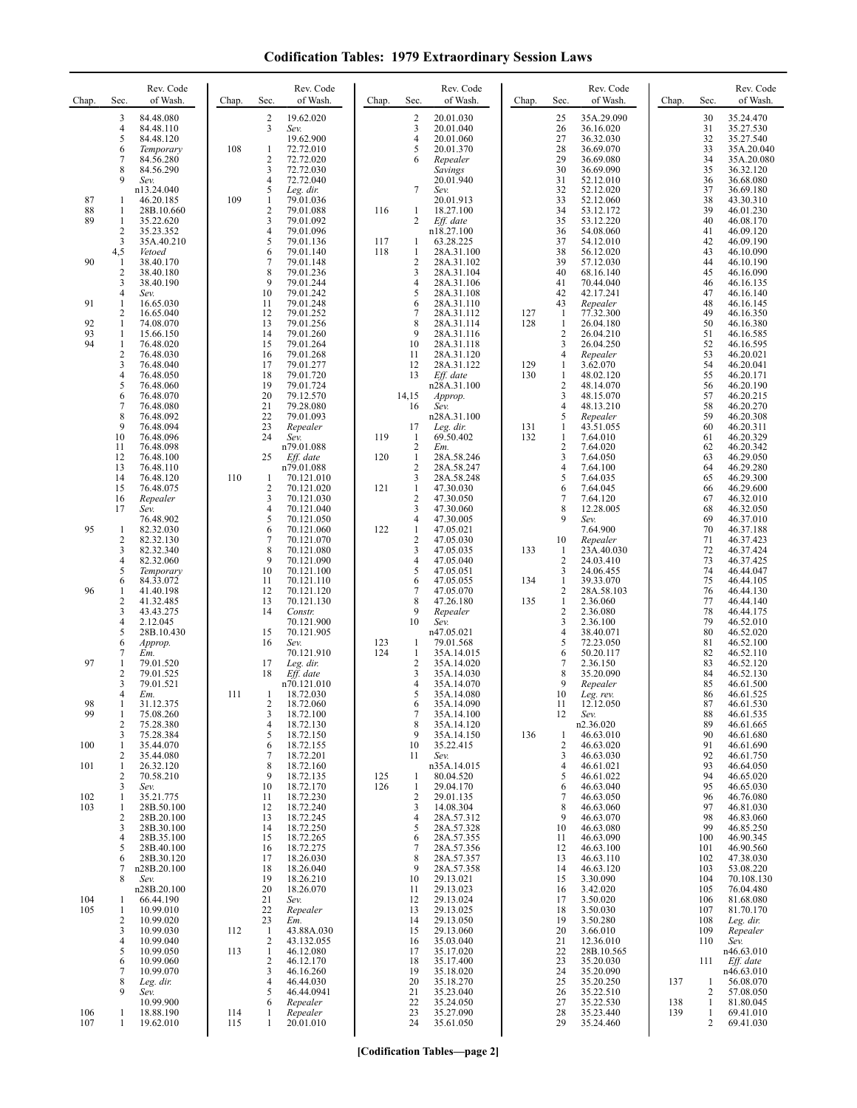| <b>Codification Tables: 1979 Extraordinary Session Laws</b> |  |  |
|-------------------------------------------------------------|--|--|
|-------------------------------------------------------------|--|--|

| Chap.          | Sec.                                                                     | Rev. Code<br>of Wash.                                                                                                                    | Chap.      | Sec.                                                                          | Rev. Code<br>of Wash.                                                                                                              | Chap.             | Sec.                                                                                            | Rev. Code<br>of Wash.                                                                                                                       | Chap.      | Sec.                                                                      | Rev. Code<br>of Wash.                                                                                                                   | Chap.      | Sec.                                                          | Rev. Code<br>of Wash.                                                                                                                   |
|----------------|--------------------------------------------------------------------------|------------------------------------------------------------------------------------------------------------------------------------------|------------|-------------------------------------------------------------------------------|------------------------------------------------------------------------------------------------------------------------------------|-------------------|-------------------------------------------------------------------------------------------------|---------------------------------------------------------------------------------------------------------------------------------------------|------------|---------------------------------------------------------------------------|-----------------------------------------------------------------------------------------------------------------------------------------|------------|---------------------------------------------------------------|-----------------------------------------------------------------------------------------------------------------------------------------|
|                | 3<br>4<br>5<br>6<br>7<br>8<br>9                                          | 84.48.080<br>84.48.110<br>84.48.120<br>Temporary<br>84.56.280<br>84.56.290<br>Sev.                                                       | 108        | $\frac{2}{3}$<br>1<br>2<br>3<br>$\overline{4}$                                | 19.62.020<br>Sev.<br>19.62.900<br>72.72.010<br>72.72.020<br>72.72.030<br>72.72.040                                                 |                   | $\frac{2}{3}$<br>$\overline{4}$<br>5<br>6                                                       | 20.01.030<br>20.01.040<br>20.01.060<br>20.01.370<br>Repealer<br>Savings<br>20.01.940                                                        |            | 25<br>26<br>27<br>28<br>29<br>30<br>31                                    | 35A.29.090<br>36.16.020<br>36.32.030<br>36.69.070<br>36.69.080<br>36.69.090<br>52.12.010                                                |            | 30<br>31<br>32<br>33<br>34<br>35<br>36                        | 35.24.470<br>35.27.530<br>35.27.540<br>35A.20.040<br>35A.20.080<br>36.32.120<br>36.68.080                                               |
| 87<br>88<br>89 | 1<br>1<br>$\mathbf{1}$<br>2<br>3                                         | n13.24.040<br>46.20.185<br>28B.10.660<br>35.22.620<br>35.23.352<br>35A.40.210                                                            | 109        | 5<br>$\mathbf{1}$<br>2<br>3<br>4<br>5                                         | Leg. dir.<br>79.01.036<br>79.01.088<br>79.01.092<br>79.01.096<br>79.01.136                                                         | 116<br>117        | 7<br>1<br>2<br>-1                                                                               | Sev.<br>20.01.913<br>18.27.100<br>Eff. date<br>n18.27.100<br>63.28.225                                                                      |            | 32<br>33<br>34<br>35<br>36<br>37                                          | 52.12.020<br>52.12.060<br>53.12.172<br>53.12.220<br>54.08.060<br>54.12.010                                                              |            | 37<br>38<br>39<br>40<br>41<br>42                              | 36.69.180<br>43.30.310<br>46.01.230<br>46.08.170<br>46.09.120<br>46.09.190                                                              |
| 90             | 4,5<br>1<br>2<br>3<br>4                                                  | Vetoed<br>38.40.170<br>38.40.180<br>38.40.190<br>Sev.                                                                                    |            | 6<br>7<br>8<br>9<br>10                                                        | 79.01.140<br>79.01.148<br>79.01.236<br>79.01.244<br>79.01.242                                                                      | 118               | 1<br>$\sqrt{2}$<br>3<br>$\overline{4}$<br>5                                                     | 28A.31.100<br>28A.31.102<br>28A.31.104<br>28A.31.106<br>28A.31.108                                                                          |            | 38<br>39<br>40<br>41<br>42                                                | 56.12.020<br>57.12.030<br>68.16.140<br>70.44.040<br>42.17.241                                                                           |            | 43<br>44<br>45<br>46<br>47                                    | 46.10.090<br>46.10.190<br>46.16.090<br>46.16.135<br>46.16.140                                                                           |
| 91<br>92<br>93 | 1<br>$\overline{c}$<br>1<br>1                                            | 16.65.030<br>16.65.040<br>74.08.070<br>15.66.150                                                                                         |            | 11<br>12<br>13<br>14                                                          | 79.01.248<br>79.01.252<br>79.01.256<br>79.01.260                                                                                   |                   | 6<br>7<br>8<br>9                                                                                | 28A.31.110<br>28A.31.112<br>28A.31.114<br>28A.31.116                                                                                        | 127<br>128 | 43<br>-1<br>$\mathbf{1}$<br>$\overline{c}$                                | Repealer<br>77.32.300<br>26.04.180<br>26.04.210                                                                                         |            | 48<br>49<br>50<br>51                                          | 46.16.145<br>46.16.350<br>46.16.380<br>46.16.585                                                                                        |
| 94             | 1<br>$\overline{c}$<br>3<br>4<br>5<br>6<br>7<br>8                        | 76.48.020<br>76.48.030<br>76.48.040<br>76.48.050<br>76.48.060<br>76.48.070<br>76.48.080<br>76.48.092                                     |            | 15<br>16<br>17<br>18<br>19<br>20<br>21<br>22                                  | 79.01.264<br>79.01.268<br>79.01.277<br>79.01.720<br>79.01.724<br>79.12.570<br>79.28.080<br>79.01.093                               |                   | 10<br>11<br>12<br>13<br>14,15<br>16                                                             | 28A.31.118<br>28A.31.120<br>28A.31.122<br>Eff. date<br>n28A.31.100<br>Approp.<br>Sev.<br>n28A.31.100                                        | 129<br>130 | 3<br>4<br>$\mathbf{1}$<br>1<br>$\overline{c}$<br>3<br>$\overline{4}$<br>5 | 26.04.250<br>Repealer<br>3.62.070<br>48.02.120<br>48.14.070<br>48.15.070<br>48.13.210<br>Repealer                                       |            | 52<br>53<br>54<br>55<br>56<br>57<br>58<br>59                  | 46.16.595<br>46.20.021<br>46.20.041<br>46.20.171<br>46.20.190<br>46.20.215<br>46.20.270<br>46.20.308                                    |
|                | 9<br>10<br>11<br>12<br>13<br>14<br>15                                    | 76.48.094<br>76.48.096<br>76.48.098<br>76.48.100<br>76.48.110<br>76.48.120<br>76.48.075                                                  | 110        | 23<br>24<br>25<br>-1<br>$\overline{c}$                                        | Repealer<br>Sev.<br>n79.01.088<br>Eff. date<br>n79.01.088<br>70.121.010<br>70.121.020                                              | 119<br>120<br>121 | 17<br>$\mathbf{1}$<br>$\sqrt{2}$<br>1<br>$\overline{2}$<br>3<br>$\mathbf{1}$                    | Leg. dir.<br>69.50.402<br>Em.<br>28A.58.246<br>28A.58.247<br>28A.58.248<br>47.30.030                                                        | 131<br>132 | 1<br>1<br>$\overline{2}$<br>3<br>4<br>5<br>6                              | 43.51.055<br>7.64.010<br>7.64.020<br>7.64.050<br>7.64.100<br>7.64.035<br>7.64.045                                                       |            | 60<br>61<br>62<br>63<br>64<br>65<br>66                        | 46.20.311<br>46.20.329<br>46.20.342<br>46.29.050<br>46.29.280<br>46.29.300<br>46.29.600                                                 |
| 95             | 16<br>17<br>$\mathbf{1}$<br>2<br>3<br>4<br>5                             | Repealer<br>Sev.<br>76.48.902<br>82.32.030<br>82.32.130<br>82.32.340<br>82.32.060<br>Temporary                                           |            | 3<br>4<br>5<br>6<br>7<br>8<br>9<br>10                                         | 70.121.030<br>70.121.040<br>70.121.050<br>70.121.060<br>70.121.070<br>70.121.080<br>70.121.090<br>70.121.100                       | 122               | $\sqrt{2}$<br>3<br>$\overline{4}$<br>$\mathbf{1}$<br>$\overline{c}$<br>3<br>$\overline{4}$<br>5 | 47.30.050<br>47.30.060<br>47.30.005<br>47.05.021<br>47.05.030<br>47.05.035<br>47.05.040<br>47.05.051                                        | 133        | $\tau$<br>8<br>9<br>10<br>1<br>$\overline{2}$<br>3                        | 7.64.120<br>12.28.005<br>Sev.<br>7.64.900<br>Repealer<br>23A.40.030<br>24.03.410<br>24.06.455                                           |            | 67<br>68<br>69<br>70<br>71<br>72<br>73<br>74                  | 46.32.010<br>46.32.050<br>46.37.010<br>46.37.188<br>46.37.423<br>46.37.424<br>46.37.425<br>46.44.047                                    |
| 96             | 6<br>1<br>$\overline{c}$<br>3<br>4<br>5<br>6                             | 84.33.072<br>41.40.198<br>41.32.485<br>43.43.275<br>2.12.045<br>28B.10.430<br>Approp.                                                    |            | 11<br>12<br>13<br>14<br>15<br>16                                              | 70.121.110<br>70.121.120<br>70.121.130<br>Constr.<br>70.121.900<br>70.121.905<br>Sev.                                              | 123               | 6<br>7<br>8<br>9<br>10<br>-1                                                                    | 47.05.055<br>47.05.070<br>47.26.180<br>Repealer<br>Sev.<br>n47.05.021<br>79.01.568                                                          | 134<br>135 | 1<br>2<br>$\mathbf{1}$<br>$\overline{c}$<br>3<br>4<br>5                   | 39.33.070<br>28A.58.103<br>2.36.060<br>2.36.080<br>2.36.100<br>38.40.071<br>72.23.050                                                   |            | 75<br>76<br>77<br>78<br>79<br>80<br>81                        | 46.44.105<br>46.44.130<br>46.44.140<br>46.44.175<br>46.52.010<br>46.52.020<br>46.52.100                                                 |
| 97             | 7<br>1<br>$\overline{2}$<br>3<br>4                                       | Em.<br>79.01.520<br>79.01.525<br>79.01.521<br>Em.                                                                                        | 111        | 17<br>18<br>1                                                                 | 70.121.910<br>Leg. dir.<br>Eff. date<br>n70.121.010<br>18.72.030                                                                   | 124               | $\mathbf{1}$<br>$\sqrt{2}$<br>$\mathfrak{Z}$<br>$\overline{4}$<br>5                             | 35A.14.015<br>35A.14.020<br>35A.14.030<br>35A.14.070<br>35A.14.080                                                                          |            | 6<br>7<br>8<br>9<br>10                                                    | 50.20.117<br>2.36.150<br>35.20.090<br>Repealer<br>Leg. rev.                                                                             |            | 82<br>83<br>84<br>85<br>86                                    | 46.52.110<br>46.52.120<br>46.52.130<br>46.61.500<br>46.61.525                                                                           |
| 98<br>99       | 1<br>1<br>2<br>3                                                         | 31.12.375<br>75.08.260<br>75.28.380<br>75.28.384                                                                                         |            | 2<br>3<br>4<br>5                                                              | 18.72.060<br>18.72.100<br>18.72.130<br>18.72.150                                                                                   |                   | 6<br>7<br>8<br>9                                                                                | 35A.14.090<br>35A.14.100<br>35A.14.120<br>35A.14.150                                                                                        | 136        | 11<br>12<br>1                                                             | 12.12.050<br>Sev.<br>n2.36.020<br>46.63.010                                                                                             |            | 87<br>88<br>89<br>90                                          | 46.61.530<br>46.61.535<br>46.61.665<br>46.61.680                                                                                        |
| 100<br>101     | 1<br>2<br>$\mathbf{1}$<br>2                                              | 35.44.070<br>35.44.080<br>26.32.120<br>70.58.210                                                                                         |            | 6<br>7<br>8<br>9                                                              | 18.72.155<br>18.72.201<br>18.72.160<br>18.72.135                                                                                   | 125               | 10<br>11<br>-1                                                                                  | 35.22.415<br>Sev.<br>n35A.14.015<br>80.04.520                                                                                               |            | $\overline{c}$<br>3<br>4<br>5                                             | 46.63.020<br>46.63.030<br>46.61.021<br>46.61.022                                                                                        |            | 91<br>92<br>93<br>94                                          | 46.61.690<br>46.61.750<br>46.64.050<br>46.65.020                                                                                        |
| 102<br>103     | 3<br>1<br>1<br>$\overline{c}$<br>3<br>$\overline{4}$<br>5<br>6<br>7<br>8 | Sev.<br>35.21.775<br>28B.50.100<br>28B.20.100<br>28B.30.100<br>28B.35.100<br>28B.40.100<br>28B.30.120<br>n28B.20.100<br>Sev.             |            | 10<br>11<br>12<br>13<br>14<br>15<br>16<br>17<br>18<br>19                      | 18.72.170<br>18.72.230<br>18.72.240<br>18.72.245<br>18.72.250<br>18.72.265<br>18.72.275<br>18.26.030<br>18.26.040<br>18.26.210     | 126               | $\mathbf{1}$<br>$\sqrt{2}$<br>3<br>$\overline{4}$<br>5<br>6<br>7<br>8<br>9<br>10                | 29.04.170<br>29.01.135<br>14.08.304<br>28A.57.312<br>28A.57.328<br>28A.57.355<br>28A.57.356<br>28A.57.357<br>28A.57.358<br>29.13.021        |            | 6<br>7<br>8<br>9<br>10<br>11<br>12<br>13<br>14<br>15                      | 46.63.040<br>46.63.050<br>46.63.060<br>46.63.070<br>46.63.080<br>46.63.090<br>46.63.100<br>46.63.110<br>46.63.120<br>3.30.090           |            | 95<br>96<br>97<br>98<br>99<br>100<br>101<br>102<br>103<br>104 | 46.65.030<br>46.76.080<br>46.81.030<br>46.83.060<br>46.85.250<br>46.90.345<br>46.90.560<br>47.38.030<br>53.08.220<br>70.108.130         |
| 104<br>105     | $\mathbf{1}$<br>1<br>$\overline{c}$<br>3<br>4<br>5<br>6<br>7<br>8<br>9   | n28B.20.100<br>66.44.190<br>10.99.010<br>10.99.020<br>10.99.030<br>10.99.040<br>10.99.050<br>10.99.060<br>10.99.070<br>Leg. dir.<br>Sev. | 112<br>113 | 20<br>21<br>22<br>23<br>$\mathbf{1}$<br>2<br>$\mathbf{1}$<br>2<br>3<br>4<br>5 | 18.26.070<br>Sev.<br>Repealer<br>Em.<br>43.88A.030<br>43.132.055<br>46.12.080<br>46.12.170<br>46.16.260<br>46.44.030<br>46.44.0941 |                   | 11<br>12<br>13<br>14<br>15<br>16<br>17<br>18<br>19<br>20<br>21                                  | 29.13.023<br>29.13.024<br>29.13.025<br>29.13.050<br>29.13.060<br>35.03.040<br>35.17.020<br>35.17.400<br>35.18.020<br>35.18.270<br>35.23.040 |            | 16<br>17<br>18<br>19<br>20<br>21<br>22<br>23<br>24<br>25<br>26            | 3.42.020<br>3.50.020<br>3.50.030<br>3.50.280<br>3.66.010<br>12.36.010<br>28B.10.565<br>35.20.030<br>35.20.090<br>35.20.250<br>35.22.510 | 137        | 105<br>106<br>107<br>108<br>109<br>110<br>111<br>1<br>2       | 76.04.480<br>81.68.080<br>81.70.170<br>Leg. dir.<br>Repealer<br>Sev.<br>n46.63.010<br>Eff. date<br>n46.63.010<br>56.08.070<br>57.08.050 |
| 106<br>107     | 1<br>1                                                                   | 10.99.900<br>18.88.190<br>19.62.010                                                                                                      | 114<br>115 | 6<br>1<br>1                                                                   | Repealer<br>Repealer<br>20.01.010                                                                                                  |                   | 22<br>23<br>24                                                                                  | 35.24.050<br>35.27.090<br>35.61.050                                                                                                         |            | 27<br>28<br>29                                                            | 35.22.530<br>35.23.440<br>35.24.460                                                                                                     | 138<br>139 | 1<br>1<br>2                                                   | 81.80.045<br>69.41.010<br>69.41.030                                                                                                     |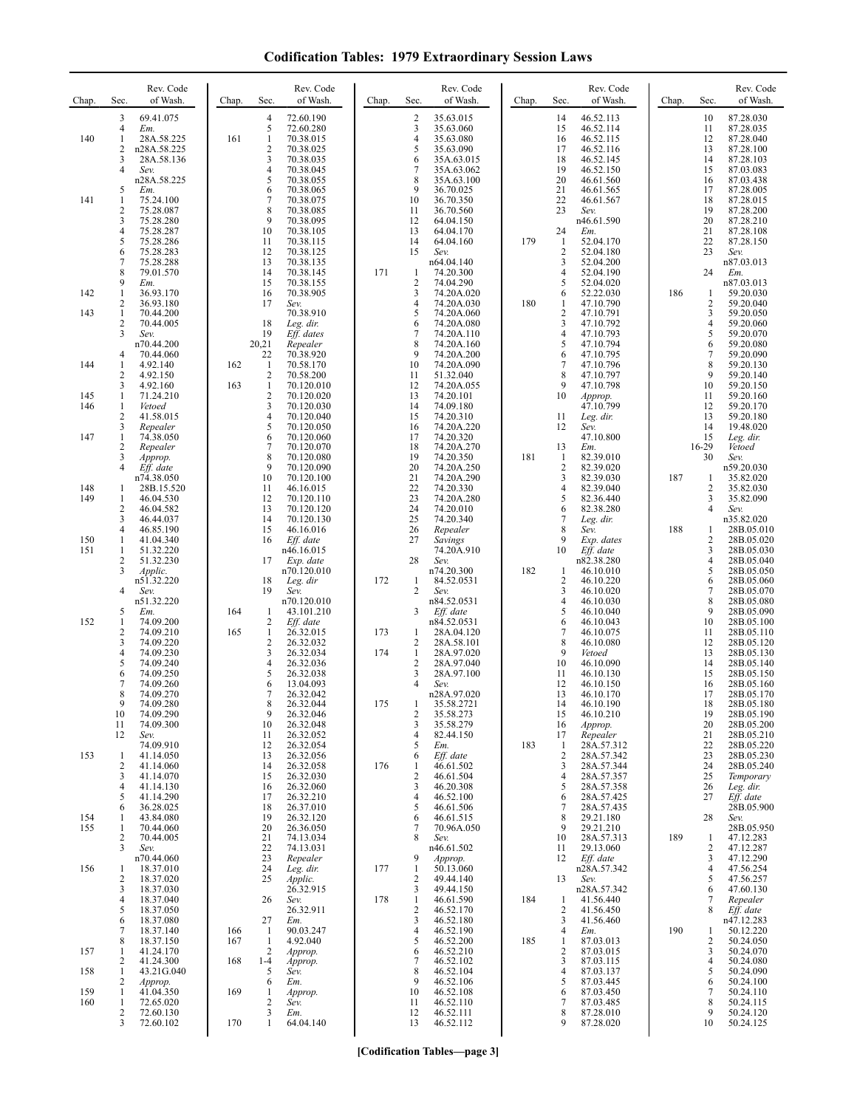**Codification Tables: 1979 Extraordinary Session Laws**

| Chap.             | Rev. Code<br>of Wash.<br>Sec.                                                                                        | Rev. Code<br>of Wash.<br>Chap.<br>Sec.                                                                                                      | Rev. Code<br>of Wash.<br>Chap.<br>Sec.                                                                                                                             | Rev. Code<br>of Wash.<br>Chap.<br>Sec.                                                                                    | Rev. Code<br>Sec.<br>of Wash.<br>Chap.                                                                                                           |
|-------------------|----------------------------------------------------------------------------------------------------------------------|---------------------------------------------------------------------------------------------------------------------------------------------|--------------------------------------------------------------------------------------------------------------------------------------------------------------------|---------------------------------------------------------------------------------------------------------------------------|--------------------------------------------------------------------------------------------------------------------------------------------------|
| 140               | 3<br>69.41.075<br>4<br>Em.<br>1<br>28A.58.225<br>2<br>n28A.58.225<br>3<br>28A.58.136<br>4<br>Sev.                    | 72.60.190<br>4<br>5<br>72.60.280<br>161<br>$\mathbf{1}$<br>70.38.015<br>$\overline{c}$<br>70.38.025<br>3<br>70.38.035<br>70.38.045<br>4     | 2<br>35.63.015<br>3<br>35.63.060<br>$\overline{4}$<br>35.63.080<br>5<br>35.63.090<br>6<br>35A.63.015<br>7<br>35A.63.062                                            | 46.52.113<br>14<br>46.52.114<br>15<br>16<br>46.52.115<br>17<br>46.52.116<br>18<br>46.52.145<br>19<br>46.52.150            | 10<br>87.28.030<br>87.28.035<br>11<br>12<br>87.28.040<br>13<br>87.28.100<br>14<br>87.28.103<br>87.03.083<br>15                                   |
| 141               | n28A.58.225<br>5<br>Em.<br>1<br>75.24.100<br>2<br>75.28.087<br>3<br>75.28.280<br>4<br>75.28.287                      | 5<br>70.38.055<br>6<br>70.38.065<br>7<br>70.38.075<br>8<br>70.38.085<br>9<br>70.38.095<br>10<br>70.38.105                                   | 8<br>35A.63.100<br>9<br>36.70.025<br>36.70.350<br>10<br>11<br>36.70.560<br>12<br>64.04.150<br>13<br>64.04.170                                                      | 20<br>46.61.560<br>21<br>46.61.565<br>22<br>46.61.567<br>23<br>Sev.<br>n46.61.590<br>24<br>Em.                            | 16<br>87.03.438<br>17<br>87.28.005<br>18<br>87.28.015<br>19<br>87.28.200<br>20<br>87.28.210<br>21<br>87.28.108                                   |
|                   | 5<br>75.28.286<br>6<br>75.28.283<br>7<br>75.28.288<br>8<br>79.01.570<br>9<br>Em.                                     | 11<br>70.38.115<br>12<br>70.38.125<br>13<br>70.38.135<br>14<br>70.38.145<br>15<br>70.38.155                                                 | 14<br>64.04.160<br>15<br>Sev.<br>n64.04.140<br>171<br>74.20.300<br>1<br>$\overline{2}$<br>74.04.290                                                                | 179<br>1<br>52.04.170<br>2<br>52.04.180<br>3<br>52.04.200<br>4<br>52.04.190<br>5<br>52.04.020                             | 22<br>87.28.150<br>23<br>Sev.<br>n87.03.013<br>24<br>Em.<br>n87.03.013                                                                           |
| 142<br>143        | 1<br>36.93.170<br>2<br>36.93.180<br>1<br>70.44.200<br>2<br>70.44.005<br>3<br>Sev.                                    | 70.38.905<br>16<br>17<br>Sev.<br>70.38.910<br>18<br>Leg. dir.<br>19<br>Eff. dates                                                           | 3<br>74.20A.020<br>$\overline{4}$<br>74.20A.030<br>5<br>74.20A.060<br>6<br>74.20A.080<br>7<br>74.20A.110                                                           | 52.22.030<br>6<br>180<br>47.10.790<br>1<br>2<br>47.10.791<br>3<br>47.10.792<br>4<br>47.10.793                             | 59.20.030<br>186<br>1<br>2<br>59.20.040<br>3<br>59.20.050<br>$\overline{4}$<br>59.20.060<br>5<br>59.20.070                                       |
| 144               | n70.44.200<br>70.44.060<br>4<br>1<br>4.92.140<br>2<br>4.92.150<br>3<br>4.92.160                                      | 20,21<br>Repealer<br>22<br>70.38.920<br>162<br>$\mathbf{1}$<br>70.58.170<br>2<br>70.58.200<br>$\mathbf{1}$<br>163<br>70.120.010             | 8<br>74.20A.160<br>9<br>74.20A.200<br>10<br>74.20A.090<br>51.32.040<br>11<br>12<br>74.20A.055                                                                      | 5<br>47.10.794<br>6<br>47.10.795<br>7<br>47.10.796<br>8<br>47.10.797<br>9<br>47.10.798                                    | 6<br>59.20.080<br>7<br>59.20.090<br>8<br>59.20.130<br>9<br>59.20.140<br>10<br>59.20.150                                                          |
| 145<br>146<br>147 | 1<br>71.24.210<br>$\mathbf{1}$<br>Vetoed<br>2<br>41.58.015<br>3<br>Repealer<br>$\mathbf{1}$<br>74.38.050             | $\mathbf{2}$<br>70.120.020<br>3<br>70.120.030<br>4<br>70.120.040<br>5<br>70.120.050<br>6<br>70.120.060                                      | 13<br>74.20.101<br>14<br>74.09.180<br>15<br>74.20.310<br>74.20A.220<br>16<br>17<br>74.20.320                                                                       | 10<br>Approp.<br>47.10.799<br>11<br>Leg. dir.<br>12<br>Sev.<br>47.10.800                                                  | 11<br>59.20.160<br>12<br>59.20.170<br>13<br>59.20.180<br>14<br>19.48.020<br>15<br>Leg. dir.                                                      |
| 148               | 2<br>Repealer<br>3<br>Approp.<br>4<br>Eff. date<br>n74.38.050<br>28B.15.520<br>1                                     | 7<br>70.120.070<br>8<br>70.120.080<br>9<br>70.120.090<br>10<br>70.120.100<br>11<br>46.16.015                                                | 18<br>74.20A.270<br>19<br>74.20.350<br>20<br>74.20A.250<br>21<br>74.20A.290<br>22<br>74.20.330                                                                     | 13<br>Em.<br>181<br>-1<br>82.39.010<br>2<br>82.39.020<br>3<br>82.39.030<br>4<br>82.39.040                                 | 16-29<br>Vetoed<br>30<br>Sev.<br>n59.20.030<br>187<br>35.82.020<br>1<br>2<br>35.82.030                                                           |
| 149<br>150<br>151 | 1<br>46.04.530<br>2<br>46.04.582<br>3<br>46.44.037<br>4<br>46.85.190<br>1<br>41.04.340<br>1<br>51.32.220             | 12<br>70.120.110<br>13<br>70.120.120<br>14<br>70.120.130<br>15<br>46.16.016<br>Eff. date<br>16<br>n46.16.015                                | 23<br>74.20A.280<br>24<br>74.20.010<br>25<br>74.20.340<br>26<br>Repealer<br>27<br>Savings<br>74.20A.910                                                            | 5<br>82.36.440<br>6<br>82.38.280<br>7<br>Leg. dir.<br>8<br>Sev.<br>9<br>Exp. dates<br>Eff. date<br>10                     | 3<br>35.82.090<br>4<br>Sev.<br>n35.82.020<br>188<br>28B.05.010<br>1<br>$\overline{c}$<br>28B.05.020<br>3<br>28B.05.030                           |
|                   | 2<br>51.32.230<br>3<br><i>Applic.</i><br>n51.32.220<br>4<br>Sev.<br>n51.32.220                                       | 17<br>Exp. date<br>n70.120.010<br>18<br>Leg. dir<br>19<br>Sev.<br>n70.120.010                                                               | 28<br>Sev.<br>n74.20.300<br>84.52.0531<br>172<br>$\mathbf{1}$<br>$\overline{c}$<br>Sev.<br>n84.52.0531                                                             | n82.38.280<br>182<br>46.10.010<br>-1<br>2<br>46.10.220<br>3<br>46.10.020<br>4<br>46.10.030                                | 4<br>28B.05.040<br>5<br>28B.05.050<br>6<br>28B.05.060<br>7<br>28B.05.070<br>8<br>28B.05.080                                                      |
| 152               | 5<br>Em.<br>1<br>74.09.200<br>2<br>74.09.210<br>3<br>74.09.220<br>4<br>74.09.230<br>5<br>74.09.240<br>6<br>74.09.250 | 164<br>1<br>43.101.210<br>2<br>Eff. date<br>165<br>26.32.015<br>1<br>2<br>26.32.032<br>3<br>26.32.034<br>4<br>26.32.036<br>26.32.038<br>5   | 3<br>Eff. date<br>n84.52.0531<br>173<br>28A.04.120<br>1<br>2<br>28A.58.101<br>28A.97.020<br>174<br>$\mathbf{1}$<br>$\overline{c}$<br>28A.97.040<br>3<br>28A.97.100 | 5<br>46.10.040<br>6<br>46.10.043<br>7<br>46.10.075<br>8<br>46.10.080<br>9<br>Vetoed<br>10<br>46.10.090<br>11<br>46.10.130 | 9<br>28B.05.090<br>10<br>28B.05.100<br>11<br>28B.05.110<br>12<br>28B.05.120<br>13<br>28B.05.130<br>14<br>28B.05.140<br>15<br>28B.05.150          |
|                   | 7<br>74.09.260<br>8<br>74.09.270<br>74.09.280<br>9<br>10<br>74.09.290<br>74.09.300<br>11<br>12<br>Sev.               | 6<br>13.04.093<br>7<br>26.32.042<br>8<br>26.32.044<br>9<br>26.32.046<br>10<br>26.32.048<br>26.32.052<br>11                                  | $\overline{4}$<br>Sev.<br>n28A.97.020<br>175<br>35.58.2721<br>$\overline{c}$<br>35.58.273<br>35.58.279<br>3<br>$\overline{4}$<br>82.44.150                         | 12<br>46.10.150<br>13<br>46.10.170<br>14<br>46.10.190<br>15<br>46.10.210<br>16<br>Approp.<br>Repealer<br>17               | 16<br>28B.05.160<br>17<br>28B.05.170<br>18<br>28B.05.180<br>19<br>28B.05.190<br>20<br>28B.05.200<br>21<br>28B.05.210                             |
| 153               | 74.09.910<br>41.14.050<br>-1<br>2<br>41.14.060<br>3<br>41.14.070<br>41.14.130<br>4<br>41.14.290<br>5                 | 26.32.054<br>12<br>13<br>26.32.056<br>26.32.058<br>14<br>15<br>26.32.030<br>26.32.060<br>16<br>26.32.210                                    | 5<br>Em.<br>6<br>Eff. date<br>176<br>46.61.502<br>1<br>$\sqrt{2}$<br>46.61.504<br>3<br>46.20.308<br>$\overline{4}$<br>46.52.100                                    | 183<br>28A.57.312<br>-1<br>$\overline{2}$<br>28A.57.342<br>3<br>28A.57.344<br>4<br>28A.57.357<br>5<br>28A.57.358          | 22<br>28B.05.220<br>23<br>28B.05.230<br>24<br>28B.05.240<br>25<br>Temporary<br>26<br>Leg. dir.<br>27                                             |
| 154<br>155        | 36.28.025<br>6<br>43.84.080<br>1<br>$\mathbf{1}$<br>70.44.060<br>$\overline{2}$<br>70.44.005<br>3<br>Sev.            | 17<br>26.37.010<br>18<br>19<br>26.32.120<br>20<br>26.36.050<br>74.13.034<br>21<br>22<br>74.13.031                                           | 5<br>46.61.506<br>6<br>46.61.515<br>7<br>70.96A.050<br>8<br>Sev.<br>n46.61.502                                                                                     | 6<br>28A.57.425<br>7<br>28A.57.435<br>29.21.180<br>8<br>9<br>29.21.210<br>28A.57.313<br>10<br>11<br>29.13.060             | Eff. date<br>28B.05.900<br>28<br>Sev.<br>28B.05.950<br>189<br>47.12.283<br>1<br>$\overline{2}$<br>47.12.287                                      |
| 156               | n70.44.060<br>18.37.010<br>-1<br>18.37.020<br>2<br>3<br>18.37.030<br>4<br>18.37.040                                  | 23<br>Repealer<br>24<br>Leg. dir.<br>25<br>Applic.<br>26.32.915<br>26<br>Sev.                                                               | 9<br>Approp.<br>177<br>$\mathbf{1}$<br>50.13.060<br>$\overline{2}$<br>49.44.140<br>3<br>49.44.150<br>$\mathbf{1}$<br>46.61.590<br>178                              | Eff. date<br>12<br>n28A.57.342<br>13<br>Sev.<br>n28A.57.342<br>184<br>41.56.440<br>$\mathbf{1}$                           | 3<br>47.12.290<br>$\overline{4}$<br>47.56.254<br>5<br>47.56.257<br>47.60.130<br>6<br>7<br>Repealer                                               |
| 157               | 5<br>18.37.050<br>6<br>18.37.080<br>7<br>18.37.140<br>8<br>18.37.150<br>41.24.170<br>1<br>2<br>41.24.300             | 26.32.911<br>27<br>Em.<br>166<br>90.03.247<br>-1<br>167<br>$\mathbf{1}$<br>4.92.040<br>$\overline{2}$<br>Approp.<br>$1-4$<br>168<br>Approp. | $\sqrt{2}$<br>46.52.170<br>3<br>46.52.180<br>46.52.190<br>$\overline{4}$<br>5<br>46.52.200<br>46.52.210<br>6<br>7<br>46.52.102                                     | $\overline{c}$<br>41.56.450<br>3<br>41.56.460<br>Em.<br>4<br>185<br>87.03.013<br>1<br>2<br>87.03.015<br>3<br>87.03.115    | 8<br>Eff. date<br>n47.12.283<br>190<br>50.12.220<br>$\mathbf{1}$<br>$\overline{2}$<br>50.24.050<br>3<br>50.24.070<br>$\overline{4}$<br>50.24.080 |
| 158<br>159<br>160 | 43.21G.040<br>1<br>2<br>Approp.<br>41.04.350<br>1<br>1<br>72.65.020<br>2<br>72.60.130<br>3<br>72.60.102              | 5<br>Sev.<br>6<br>Em.<br>169<br>1<br>Approp.<br>$\overline{c}$<br>Sev.<br>3<br>Em.<br>170<br>$\mathbf{1}$<br>64.04.140                      | 8<br>46.52.104<br>9<br>46.52.106<br>10<br>46.52.108<br>46.52.110<br>11<br>12<br>46.52.111<br>46.52.112<br>13                                                       | 4<br>87.03.137<br>5<br>87.03.445<br>87.03.450<br>6<br>87.03.485<br>7<br>8<br>87.28.010<br>87.28.020<br>9                  | 5<br>50.24.090<br>50.24.100<br>6<br>50.24.110<br>7<br>8<br>50.24.115<br>9<br>50.24.120<br>50.24.125<br>10                                        |

**[Codification Tables—page 3]**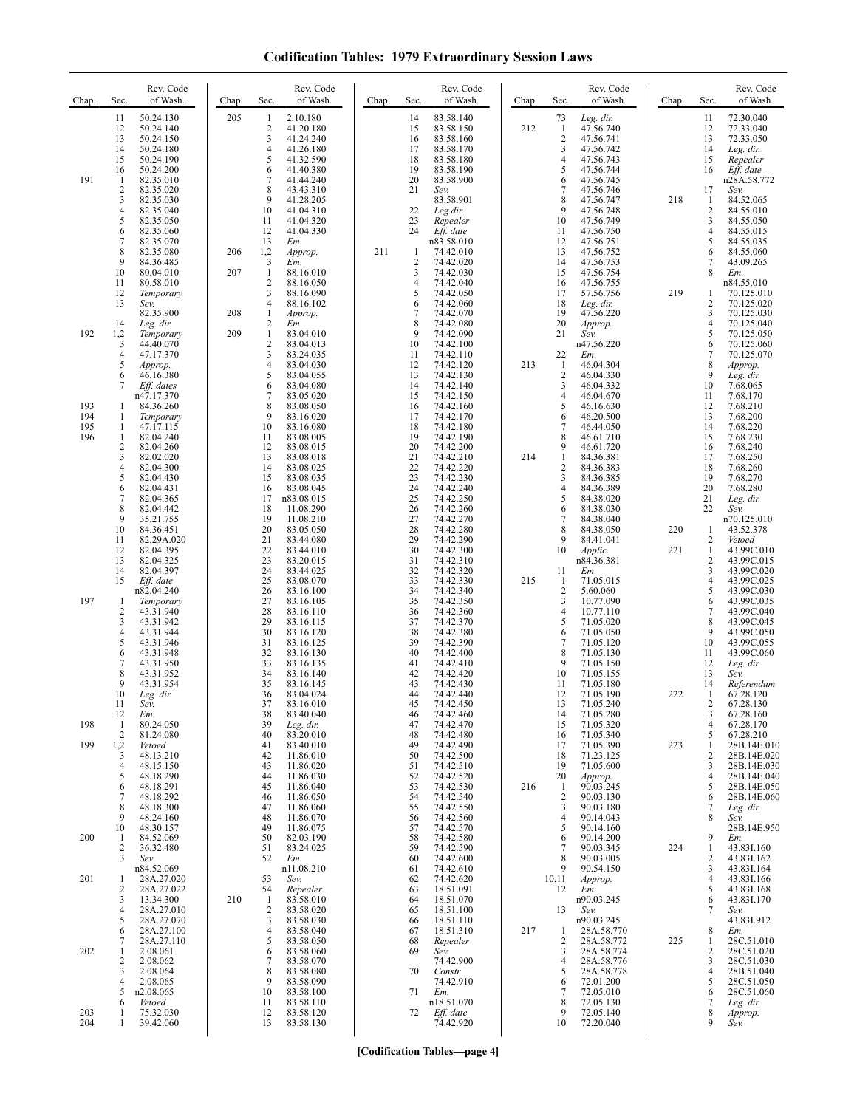**Codification Tables: 1979 Extraordinary Session Laws**

| Chap.                    | Rev. Code<br>of Wash.<br>Sec.                                                                                                                                                                                                                                                                                                                          | Chap.             | Rev. Code<br>Sec.<br>of Wash.                                                                                                                                                                                                                                                                                                                                          | Chap. | Rev. Code<br>of Wash.<br>Sec.                                                                                                                                                                                                                                                                                                                                         | Chap. | Sec.                                                                                                                | Rev. Code<br>of Wash.                                                                                                                                                                                                                       | Chap.      | Sec.                                                                                                     | Rev. Code<br>of Wash.                                                                                                                                                                                                                                 |
|--------------------------|--------------------------------------------------------------------------------------------------------------------------------------------------------------------------------------------------------------------------------------------------------------------------------------------------------------------------------------------------------|-------------------|------------------------------------------------------------------------------------------------------------------------------------------------------------------------------------------------------------------------------------------------------------------------------------------------------------------------------------------------------------------------|-------|-----------------------------------------------------------------------------------------------------------------------------------------------------------------------------------------------------------------------------------------------------------------------------------------------------------------------------------------------------------------------|-------|---------------------------------------------------------------------------------------------------------------------|---------------------------------------------------------------------------------------------------------------------------------------------------------------------------------------------------------------------------------------------|------------|----------------------------------------------------------------------------------------------------------|-------------------------------------------------------------------------------------------------------------------------------------------------------------------------------------------------------------------------------------------------------|
| 191                      | 50.24.130<br>11<br>12<br>50.24.140<br>13<br>50.24.150<br>14<br>50.24.180<br>15<br>50.24.190<br>16<br>50.24.200<br>-1<br>82.35.010<br>$\overline{c}$<br>82.35.020<br>3<br>82.35.030<br>4<br>82.35.040<br>5<br>82.35.050<br>6<br>82.35.060<br>7<br>82.35.070<br>8<br>82.35.080<br>9<br>84.36.485<br>10<br>80.04.010<br>11<br>80.58.010                   | 205<br>206<br>207 | 2.10.180<br>1<br>$\mathfrak{2}$<br>41.20.180<br>3<br>41.24.240<br>4<br>41.26.180<br>5<br>41.32.590<br>41.40.380<br>6<br>7<br>41.44.240<br>8<br>43.43.310<br>9<br>41.28.205<br>10<br>41.04.310<br>11<br>41.04.320<br>12<br>41.04.330<br>13<br>Em.<br>1,2<br>Approp.<br>3<br>Em.<br>1<br>88.16.010<br>$\overline{c}$<br>88.16.050                                        | 211   | 14<br>83.58.140<br>15<br>83.58.150<br>83.58.160<br>16<br>17<br>83.58.170<br>18<br>83.58.180<br>19<br>83.58.190<br>20<br>83.58.900<br>21<br>Sev.<br>83.58.901<br>22<br>Leg.dir.<br>23<br>Repealer<br>24<br>Eff. date<br>n83.58.010<br>74.42.010<br>-1<br>$\sqrt{2}$<br>74.42.020<br>3<br>74.42.030<br>$\overline{4}$<br>74.42.040                                      | 212   | 73<br>$\mathbf{1}$<br>$\overline{2}$<br>3<br>4<br>5<br>6<br>7<br>8<br>9<br>10<br>11<br>12<br>13<br>14<br>15<br>16   | Leg. dir.<br>47.56.740<br>47.56.741<br>47.56.742<br>47.56.743<br>47.56.744<br>47.56.745<br>47.56.746<br>47.56.747<br>47.56.748<br>47.56.749<br>47.56.750<br>47.56.751<br>47.56.752<br>47.56.753<br>47.56.754<br>47.56.755                   | 218        | 11<br>12<br>13<br>14<br>15<br>16<br>17<br>-1<br>$\overline{2}$<br>3<br>4<br>5<br>6<br>7<br>8             | 72.30.040<br>72.33.040<br>72.33.050<br>Leg. dir.<br>Repealer<br>Eff. date<br>n28A.58.772<br>Sev.<br>84.52.065<br>84.55.010<br>84.55.050<br>84.55.015<br>84.55.035<br>84.55.060<br>43.09.265<br>Em.<br>n84.55.010                                      |
| 192                      | 12<br>Temporary<br>13<br>Sev.<br>82.35.900<br>14<br>Leg. dir.<br>1,2<br>Temporary<br>44.40.070<br>3<br>4<br>47.17.370<br>5<br>Approp.<br>6<br>46.16.380                                                                                                                                                                                                | 208<br>209        | 3<br>88.16.090<br>4<br>88.16.102<br>$\mathbf{1}$<br>Approp.<br>$\overline{\mathbf{c}}$<br>Em.<br>$\mathbf{1}$<br>83.04.010<br>$\overline{c}$<br>83.04.013<br>3<br>83.24.035<br>4<br>83.04.030<br>5<br>83.04.055                                                                                                                                                        |       | 5<br>74.42.050<br>6<br>74.42.060<br>$\overline{7}$<br>74.42.070<br>8<br>74.42.080<br>9<br>74.42.090<br>10<br>74.42.100<br>74.42.110<br>11<br>12<br>74.42.120<br>74.42.130<br>13                                                                                                                                                                                       | 213   | 17<br>18<br>19<br>20<br>21<br>22<br>$\mathbf{1}$<br>$\overline{2}$                                                  | 57.56.756<br>Leg. dir.<br>47.56.220<br>Approp.<br>Sev.<br>n47.56.220<br>Em.<br>46.04.304<br>46.04.330                                                                                                                                       | 219        | 1<br>$\overline{2}$<br>3<br>4<br>5<br>6<br>7<br>8<br>9                                                   | 70.125.010<br>70.125.020<br>70.125.030<br>70.125.040<br>70.125.050<br>70.125.060<br>70.125.070<br>Approp.<br>Leg. dir.                                                                                                                                |
| 193<br>194<br>195<br>196 | 7<br>Eff. dates<br>n47.17.370<br>84.36.260<br>-1<br>-1<br>Temporary<br>47.17.115<br>-1<br>$\mathbf{1}$<br>82.04.240<br>2<br>82.04.260<br>3<br>82.02.020                                                                                                                                                                                                |                   | 6<br>83.04.080<br>7<br>83.05.020<br>8<br>83.08.050<br>9<br>83.16.020<br>10<br>83.16.080<br>11<br>83.08.005<br>12<br>83.08.015<br>13<br>83.08.018                                                                                                                                                                                                                       |       | 14<br>74.42.140<br>74.42.150<br>15<br>16<br>74.42.160<br>17<br>74.42.170<br>18<br>74.42.180<br>19<br>74.42.190<br>20<br>74.42.200<br>21<br>74.42.210                                                                                                                                                                                                                  | 214   | 3<br>4<br>5<br>6<br>7<br>8<br>9<br>$\mathbf{1}$                                                                     | 46.04.332<br>46.04.670<br>46.16.630<br>46.20.500<br>46.44.050<br>46.61.710<br>46.61.720<br>84.36.381                                                                                                                                        |            | 10<br>11<br>12<br>13<br>14<br>15<br>16<br>17                                                             | 7.68.065<br>7.68.170<br>7.68.210<br>7.68.200<br>7.68.220<br>7.68.230<br>7.68.240<br>7.68.250                                                                                                                                                          |
| 197                      | 4<br>82.04.300<br>5<br>82.04.430<br>6<br>82.04.431<br>7<br>82.04.365<br>8<br>82.04.442<br>9<br>35.21.755<br>10<br>84.36.451<br>11<br>82.29A.020<br>12<br>82.04.395<br>13<br>82.04.325<br>14<br>82.04.397<br>Eff. date<br>15<br>n82.04.240<br>-1<br>Temporary<br>2<br>43.31.940<br>3<br>43.31.942<br>4<br>43.31.944<br>5<br>43.31.946<br>6<br>43.31.948 |                   | 14<br>83.08.025<br>15<br>83.08.035<br>16<br>83.08.045<br>17<br>n83.08.015<br>18<br>11.08.290<br>19<br>11.08.210<br>20<br>83.05.050<br>21<br>83.44.080<br>22<br>83.44.010<br>23<br>83.20.015<br>24<br>83.44.025<br>25<br>83.08.070<br>26<br>83.16.100<br>27<br>83.16.105<br>28<br>83.16.110<br>29<br>83.16.115<br>30<br>83.16.120<br>31<br>83.16.125<br>32<br>83.16.130 |       | 22<br>74.42.220<br>23<br>74.42.230<br>24<br>74.42.240<br>25<br>74.42.250<br>26<br>74.42.260<br>27<br>74.42.270<br>28<br>74.42.280<br>29<br>74.42.290<br>30<br>74.42.300<br>31<br>74.42.310<br>32<br>74.42.320<br>33<br>74.42.330<br>34<br>74.42.340<br>74.42.350<br>35<br>36<br>74.42.360<br>37<br>74.42.370<br>38<br>74.42.380<br>39<br>74.42.390<br>40<br>74.42.400 | 215   | 2<br>3<br>4<br>5<br>6<br>7<br>8<br>9<br>10<br>11<br>-1<br>$\overline{2}$<br>3<br>$\overline{4}$<br>5<br>6<br>7<br>8 | 84.36.383<br>84.36.385<br>84.36.389<br>84.38.020<br>84.38.030<br>84.38.040<br>84.38.050<br>84.41.041<br>Applic.<br>n84.36.381<br>Em.<br>71.05.015<br>5.60.060<br>10.77.090<br>10.77.110<br>71.05.020<br>71.05.050<br>71.05.120<br>71.05.130 | 220<br>221 | 18<br>19<br>20<br>21<br>22<br>1<br>2<br>$\mathbf{1}$<br>2<br>3<br>4<br>5<br>6<br>7<br>8<br>9<br>10<br>11 | 7.68.260<br>7.68.270<br>7.68.280<br>Leg. dir.<br>Sev.<br>n70.125.010<br>43.52.378<br>Vetoed<br>43.99C.010<br>43.99C.015<br>43.99C.020<br>43.99C.025<br>43.99C.030<br>43.99C.035<br>43.99C.040<br>43.99C.045<br>43.99C.050<br>43.99C.055<br>43.99C.060 |
| 198<br>199               | 7<br>43.31.950<br>8<br>43.31.952<br>9<br>43.31.954<br>10<br>Leg. dir.<br>11<br>Sev.<br>12<br>Em.<br>80.24.050<br>-1<br>$\overline{2}$<br>81.24.080<br>1,2<br>Vetoed                                                                                                                                                                                    |                   | 33<br>83.16.135<br>34<br>83.16.140<br>35<br>83.16.145<br>36<br>83.04.024<br>37<br>83.16.010<br>38<br>83.40.040<br>39<br>Leg. dir.<br>40<br>83.20.010<br>41<br>83.40.010                                                                                                                                                                                                |       | 41<br>74.42.410<br>42<br>74.42.420<br>43<br>74.42.430<br>44<br>74.42.440<br>45<br>74.42.450<br>74.42.460<br>46<br>47<br>74.42.470<br>74.42.480<br>48<br>49<br>74.42.490                                                                                                                                                                                               |       | 9<br>10<br>11<br>12<br>13<br>14<br>15<br>16<br>17                                                                   | 71.05.150<br>71.05.155<br>71.05.180<br>71.05.190<br>71.05.240<br>71.05.280<br>71.05.320<br>71.05.340<br>71.05.390                                                                                                                           | 222<br>223 | 12<br>13<br>14<br>1<br>2<br>3<br>4<br>5<br>1                                                             | Leg. dir.<br>Sev.<br>Referendum<br>67.28.120<br>67.28.130<br>67.28.160<br>67.28.170<br>67.28.210<br>28B.14E.010                                                                                                                                       |
| 200                      | 3<br>48.13.210<br>4<br>48.15.150<br>5<br>48.18.290<br>48.18.291<br>6<br>7<br>48.18.292<br>8<br>48.18.300<br>9<br>48.24.160<br>48.30.157<br>10<br>84.52.069<br>-1<br>36.32.480<br>2                                                                                                                                                                     |                   | 42<br>11.86.010<br>43<br>11.86.020<br>44<br>11.86.030<br>11.86.040<br>45<br>46<br>11.86.050<br>47<br>11.86.060<br>48<br>11.86.070<br>49<br>11.86.075<br>50<br>82.03.190<br>83.24.025<br>51                                                                                                                                                                             |       | 74.42.500<br>50<br>74.42.510<br>51<br>52<br>74.42.520<br>74.42.530<br>53<br>54<br>74.42.540<br>74.42.550<br>55<br>74.42.560<br>56<br>74.42.570<br>57<br>74.42.580<br>58<br>59<br>74.42.590                                                                                                                                                                            | 216   | 18<br>19<br>20<br>$\mathbf{1}$<br>$\overline{2}$<br>3<br>4<br>5<br>6<br>7                                           | 71.23.125<br>71.05.600<br>Approp.<br>90.03.245<br>90.03.130<br>90.03.180<br>90.14.043<br>90.14.160<br>90.14.200<br>90.03.345                                                                                                                | 224        | 2<br>3<br>4<br>5<br>6<br>7<br>8<br>9<br>1                                                                | 28B.14E.020<br>28B.14E.030<br>28B.14E.040<br>28B.14E.050<br>28B.14E.060<br>Leg. dir.<br>Sev.<br>28B.14E.950<br>Em.<br>43.83I.160                                                                                                                      |
| 201                      | 3<br>Sev.<br>n84.52.069<br>28A.27.020<br>-1<br>2<br>28A.27.022<br>3<br>13.34.300<br>4<br>28A.27.010<br>28A.27.070<br>5                                                                                                                                                                                                                                 | 210               | 52<br>Em.<br>n11.08.210<br>53<br>Sev.<br>54<br>Repealer<br>$\mathbf{1}$<br>83.58.010<br>$\overline{c}$<br>83.58.020<br>3<br>83.58.030                                                                                                                                                                                                                                  |       | 60<br>74.42.600<br>74.42.610<br>61<br>74.42.620<br>62<br>18.51.091<br>63<br>18.51.070<br>64<br>65<br>18.51.100<br>18.51.110<br>66                                                                                                                                                                                                                                     |       | 8<br>9<br>10,11<br>12<br>13                                                                                         | 90.03.005<br>90.54.150<br>Approp.<br>Em.<br>n90.03.245<br>Sev.<br>n90.03.245                                                                                                                                                                |            | 2<br>3<br>4<br>5<br>6<br>7                                                                               | 43.83I.162<br>43.83I.164<br>43.83I.166<br>43.83I.168<br>43.83I.170<br>Sev.<br>43.831.912                                                                                                                                                              |
| 202<br>203               | 28A.27.100<br>6<br>28A.27.110<br>7<br>2.08.061<br>1<br>2.08.062<br>2<br>3<br>2.08.064<br>4<br>2.08.065<br>5<br>n2.08.065<br>6<br>Vetoed<br>75.32.030<br>-1                                                                                                                                                                                             |                   | 4<br>83.58.040<br>5<br>83.58.050<br>83.58.060<br>6<br>7<br>83.58.070<br>8<br>83.58.080<br>9<br>83.58.090<br>10<br>83.58.100<br>11<br>83.58.110<br>83.58.120<br>12                                                                                                                                                                                                      |       | 67<br>18.51.310<br>68<br>Repealer<br>69<br>Sev.<br>74.42.900<br>70<br>Constr.<br>74.42.910<br>71<br>Em.<br>n18.51.070<br>Eff. date<br>72                                                                                                                                                                                                                              | 217   | -1<br>$\overline{2}$<br>3<br>4<br>5<br>6<br>7<br>8<br>9                                                             | 28A.58.770<br>28A.58.772<br>28A.58.774<br>28A.58.776<br>28A.58.778<br>72.01.200<br>72.05.010<br>72.05.130<br>72.05.140                                                                                                                      | 225        | 8<br>1<br>2<br>3<br>4<br>5<br>6<br>7<br>8                                                                | Em.<br>28C.51.010<br>28C.51.020<br>28C.51.030<br>28B.51.040<br>28C.51.050<br>28C.51.060<br>Leg. dir.<br>Approp.                                                                                                                                       |
| 204                      | 1<br>39.42.060                                                                                                                                                                                                                                                                                                                                         |                   | 13<br>83.58.130                                                                                                                                                                                                                                                                                                                                                        |       | 74.42.920                                                                                                                                                                                                                                                                                                                                                             |       | 10                                                                                                                  | 72.20.040                                                                                                                                                                                                                                   |            | 9                                                                                                        | Sev.                                                                                                                                                                                                                                                  |